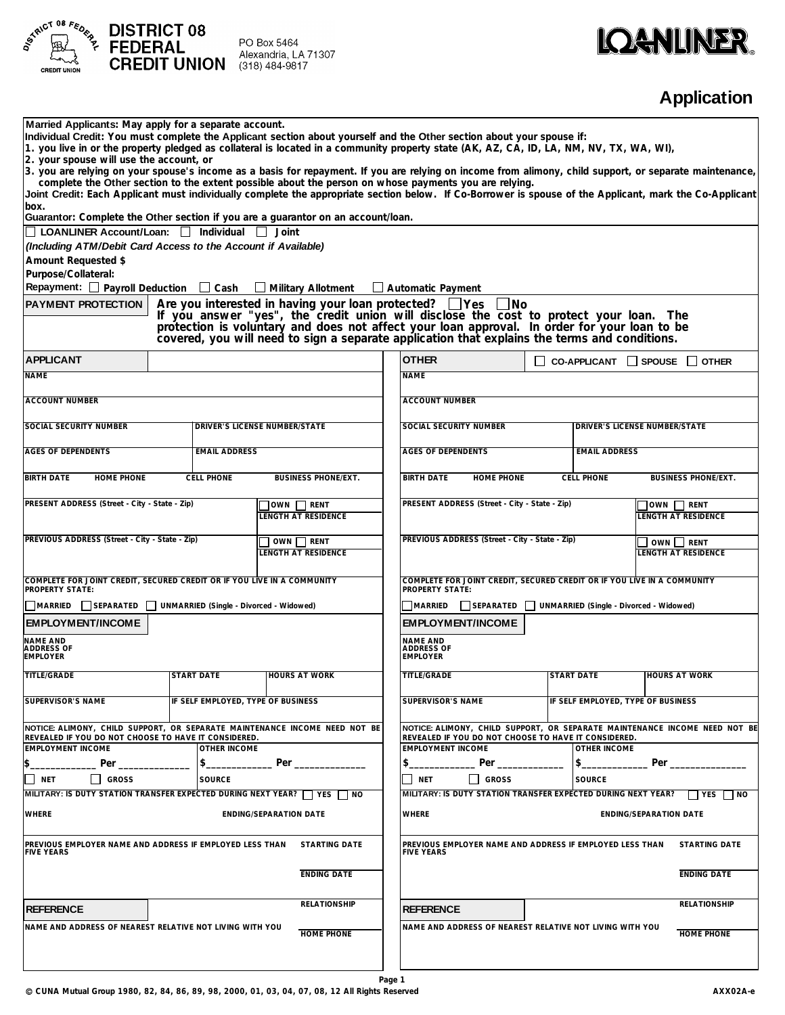

## **IQANLINER.**

## **Application**

| Married Applicants: May apply for a separate account.                                                                                                   |                                                     | Individual Credit: You must complete the Applicant section about yourself and the Other section about your spouse if:                                                                                                                                                                                                                                |                                                           |                               |                                                               |                                                                                                                |  |  |
|---------------------------------------------------------------------------------------------------------------------------------------------------------|-----------------------------------------------------|------------------------------------------------------------------------------------------------------------------------------------------------------------------------------------------------------------------------------------------------------------------------------------------------------------------------------------------------------|-----------------------------------------------------------|-------------------------------|---------------------------------------------------------------|----------------------------------------------------------------------------------------------------------------|--|--|
| 2. your spouse will use the account, or                                                                                                                 |                                                     | 1. you live in or the property pledged as collateral is located in a community property state (AK, AZ, CA, ID, LA, NM, NV, TX, WA, WI),                                                                                                                                                                                                              |                                                           |                               |                                                               |                                                                                                                |  |  |
| 3. you are relying on your spouse's income as a basis for repayment. If you are relying on income from alimony, child support, or separate maintenance, |                                                     |                                                                                                                                                                                                                                                                                                                                                      |                                                           |                               |                                                               |                                                                                                                |  |  |
|                                                                                                                                                         |                                                     | complete the Other section to the extent possible about the person on whose payments you are relying.<br>Joint Credit: Each Applicant must individually complete the appropriate section below. If Co-Borrower is spouse of the Applicant, mark the Co-Applicant                                                                                     |                                                           |                               |                                                               |                                                                                                                |  |  |
| box.                                                                                                                                                    |                                                     | Guarantor: Complete the Other section if you are a guarantor on an account/loan.                                                                                                                                                                                                                                                                     |                                                           |                               |                                                               |                                                                                                                |  |  |
| LOANLINER Account/Loan: Individual                                                                                                                      |                                                     | $\Box$ Joint                                                                                                                                                                                                                                                                                                                                         |                                                           |                               |                                                               |                                                                                                                |  |  |
| (Including ATM/Debit Card Access to the Account if Available)                                                                                           |                                                     |                                                                                                                                                                                                                                                                                                                                                      |                                                           |                               |                                                               |                                                                                                                |  |  |
| Amount Requested \$                                                                                                                                     |                                                     |                                                                                                                                                                                                                                                                                                                                                      |                                                           |                               |                                                               |                                                                                                                |  |  |
| Purpose/Collateral:                                                                                                                                     |                                                     |                                                                                                                                                                                                                                                                                                                                                      |                                                           |                               |                                                               |                                                                                                                |  |  |
| Repayment: □ Payroll Deduction □ Cash                                                                                                                   |                                                     | $\Box$ Military Allotment                                                                                                                                                                                                                                                                                                                            | $\Box$ Automatic Payment                                  |                               |                                                               |                                                                                                                |  |  |
| <b>PAYMENT PROTECTION</b>                                                                                                                               |                                                     | Are you interested in having your loan protected? $\Box$ Yes<br>If you answer "yes", the credit union will disclose the cost to protect your loan. The protection is voluntary and does not affect your loan approval. In order for your loan to be<br>covered, you will need to sign a separate application that explains the terms and conditions. |                                                           | - No                          |                                                               |                                                                                                                |  |  |
| <b>APPLICANT</b>                                                                                                                                        |                                                     |                                                                                                                                                                                                                                                                                                                                                      | <b>OTHER</b>                                              |                               | $\Box$ CO-APPLICANT $\Box$ SPOUSE $\Box$ OTHER                |                                                                                                                |  |  |
| <b>NAME</b>                                                                                                                                             |                                                     |                                                                                                                                                                                                                                                                                                                                                      | <b>NAME</b>                                               |                               |                                                               |                                                                                                                |  |  |
|                                                                                                                                                         |                                                     |                                                                                                                                                                                                                                                                                                                                                      |                                                           |                               |                                                               |                                                                                                                |  |  |
| <b>ACCOUNT NUMBER</b>                                                                                                                                   |                                                     |                                                                                                                                                                                                                                                                                                                                                      | <b>ACCOUNT NUMBER</b>                                     |                               |                                                               |                                                                                                                |  |  |
| SOCIAL SECURITY NUMBER                                                                                                                                  |                                                     | DRIVER'S LICENSE NUMBER/STATE                                                                                                                                                                                                                                                                                                                        | SOCIAL SECURITY NUMBER                                    |                               |                                                               | <b>DRIVER'S LICENSE NUMBER/STATE</b>                                                                           |  |  |
|                                                                                                                                                         |                                                     |                                                                                                                                                                                                                                                                                                                                                      |                                                           |                               |                                                               |                                                                                                                |  |  |
| <b>AGES OF DEPENDENTS</b>                                                                                                                               | <b>EMAIL ADDRESS</b>                                |                                                                                                                                                                                                                                                                                                                                                      | <b>AGES OF DEPENDENTS</b>                                 |                               | <b>EMAIL ADDRESS</b>                                          |                                                                                                                |  |  |
| <b>BIRTH DATE</b><br>HOME PHONE                                                                                                                         | <b>CELL PHONE</b>                                   | <b>BUSINESS PHONE/EXT.</b>                                                                                                                                                                                                                                                                                                                           | <b>BIRTH DATE</b>                                         | <b>HOME PHONE</b>             | <b>CELL PHONE</b>                                             | <b>BUSINESS PHONE/EXT.</b>                                                                                     |  |  |
| PRESENT ADDRESS (Street - City - State - Zip)<br>OWN RENT                                                                                               |                                                     |                                                                                                                                                                                                                                                                                                                                                      | PRESENT ADDRESS (Street - City - State - Zip)<br>OWN RENT |                               |                                                               |                                                                                                                |  |  |
|                                                                                                                                                         |                                                     | LENGTH AT RESIDENCE                                                                                                                                                                                                                                                                                                                                  |                                                           |                               |                                                               | <b>LENGTH AT RESIDENCE</b>                                                                                     |  |  |
| PREVIOUS ADDRESS (Street - City - State - Zip)                                                                                                          |                                                     |                                                                                                                                                                                                                                                                                                                                                      | PREVIOUS ADDRESS (Street - City - State - Zip)            |                               |                                                               |                                                                                                                |  |  |
|                                                                                                                                                         |                                                     | OWN RENT<br>LENGTH AT RESIDENCE                                                                                                                                                                                                                                                                                                                      |                                                           |                               |                                                               | OWN RENT<br><b>LENGTH AT RESIDENCE</b>                                                                         |  |  |
|                                                                                                                                                         |                                                     |                                                                                                                                                                                                                                                                                                                                                      |                                                           |                               |                                                               |                                                                                                                |  |  |
| COMPLETE FOR JOINT CREDIT, SECURED CREDIT OR IF YOU LIVE IN A COMMUNITY<br>PROPERTY STATE:                                                              |                                                     |                                                                                                                                                                                                                                                                                                                                                      | PROPERTY STATE:                                           |                               |                                                               | COMPLETE FOR JOINT CREDIT, SECURED CREDIT OR IF YOU LIVE IN A COMMUNITY                                        |  |  |
| MARRIED                                                                                                                                                 | SEPARATED   UNMARRIED (Single - Divorced - Widowed) |                                                                                                                                                                                                                                                                                                                                                      | <b>MARRIED</b>                                            |                               | SEPARATED   UNMARRIED (Single - Divorced - Widowed)           |                                                                                                                |  |  |
| <b>EMPLOYMENT/INCOME</b>                                                                                                                                |                                                     |                                                                                                                                                                                                                                                                                                                                                      | <b>EMPLOYMENT/INCOME</b>                                  |                               |                                                               |                                                                                                                |  |  |
| NAME AND                                                                                                                                                |                                                     |                                                                                                                                                                                                                                                                                                                                                      | <b>NAME AND</b>                                           |                               |                                                               |                                                                                                                |  |  |
| ADDRESS OF<br><b>EMPLOYER</b>                                                                                                                           |                                                     |                                                                                                                                                                                                                                                                                                                                                      | <b>ADDRESS OF</b><br><b>EMPLOYER</b>                      |                               |                                                               |                                                                                                                |  |  |
| TITLE/GRADE                                                                                                                                             | <b>START DATE</b>                                   | <b>HOURS AT WORK</b>                                                                                                                                                                                                                                                                                                                                 | <b>TITLE/GRADE</b>                                        |                               | <b>START DATE</b>                                             | <b>HOURS AT WORK</b>                                                                                           |  |  |
|                                                                                                                                                         |                                                     |                                                                                                                                                                                                                                                                                                                                                      |                                                           |                               |                                                               |                                                                                                                |  |  |
| SUPERVISOR'S NAME                                                                                                                                       | IF SELF EMPLOYED, TYPE OF BUSINESS                  |                                                                                                                                                                                                                                                                                                                                                      | SUPERVISOR'S NAME                                         |                               | IF SELF EMPLOYED, TYPE OF BUSINESS                            |                                                                                                                |  |  |
| NOTICE: ALIMONY, CHILD SUPPORT, OR SEPARATE MAINTENANCE INCOME NEED NOT BE                                                                              |                                                     |                                                                                                                                                                                                                                                                                                                                                      |                                                           |                               |                                                               | NOTICE: ALIMONY, CHILD SUPPORT, OR SEPARATE MAINTENANCE INCOME NEED NOT BE                                     |  |  |
| REVEALED IF YOU DO NOT CHOOSE TO HAVE IT CONSIDERED.                                                                                                    |                                                     |                                                                                                                                                                                                                                                                                                                                                      |                                                           |                               | REVEALED IF YOU DO NOT CHOOSE TO HAVE IT CONSIDERED.          |                                                                                                                |  |  |
| <b>EMPLOYMENT INCOME</b>                                                                                                                                | OTHER INCOME                                        |                                                                                                                                                                                                                                                                                                                                                      | <b>EMPLOYMENT INCOME</b>                                  |                               | OTHER INCOME                                                  |                                                                                                                |  |  |
| Per                                                                                                                                                     | $\mathfrak{S}$                                      | Per                                                                                                                                                                                                                                                                                                                                                  | \$                                                        | Per                           | \$                                                            | Per and the state of the state of the state of the state of the state of the state of the state of the state o |  |  |
| $\Gamma$ NET<br><b>GROSS</b>                                                                                                                            | <b>SOURCE</b>                                       |                                                                                                                                                                                                                                                                                                                                                      | <b>NET</b>                                                | GROSS                         | <b>SOURCE</b>                                                 |                                                                                                                |  |  |
| MILITARY: IS DUTY STATION TRANSFER EXPECTED DURING NEXT YEAR?                                                                                           |                                                     | <b>YES</b><br>  NO                                                                                                                                                                                                                                                                                                                                   |                                                           |                               | MILITARY: IS DUTY STATION TRANSFER EXPECTED DURING NEXT YEAR? | YES NO                                                                                                         |  |  |
| <b>WHERE</b>                                                                                                                                            | <b>WHERE</b>                                        |                                                                                                                                                                                                                                                                                                                                                      |                                                           | <b>ENDING/SEPARATION DATE</b> |                                                               |                                                                                                                |  |  |
| PREVIOUS EMPLOYER NAME AND ADDRESS IF EMPLOYED LESS THAN<br><b>FIVE YEARS</b>                                                                           |                                                     | <b>STARTING DATE</b>                                                                                                                                                                                                                                                                                                                                 | <b>FIVE YEARS</b>                                         |                               | PREVIOUS EMPLOYER NAME AND ADDRESS IF EMPLOYED LESS THAN      | <b>STARTING DATE</b>                                                                                           |  |  |
|                                                                                                                                                         |                                                     | <b>ENDING DATE</b>                                                                                                                                                                                                                                                                                                                                   |                                                           |                               |                                                               | <b>ENDING DATE</b>                                                                                             |  |  |
| <b>REFERENCE</b>                                                                                                                                        |                                                     | <b>RELATIONSHIP</b>                                                                                                                                                                                                                                                                                                                                  | <b>REFERENCE</b>                                          |                               |                                                               | <b>RELATIONSHIP</b>                                                                                            |  |  |
| NAME AND ADDRESS OF NEAREST RELATIVE NOT LIVING WITH YOU                                                                                                |                                                     | HOME PHONE                                                                                                                                                                                                                                                                                                                                           |                                                           |                               | NAME AND ADDRESS OF NEAREST RELATIVE NOT LIVING WITH YOU      | <b>HOME PHONE</b>                                                                                              |  |  |
|                                                                                                                                                         |                                                     |                                                                                                                                                                                                                                                                                                                                                      |                                                           |                               |                                                               |                                                                                                                |  |  |